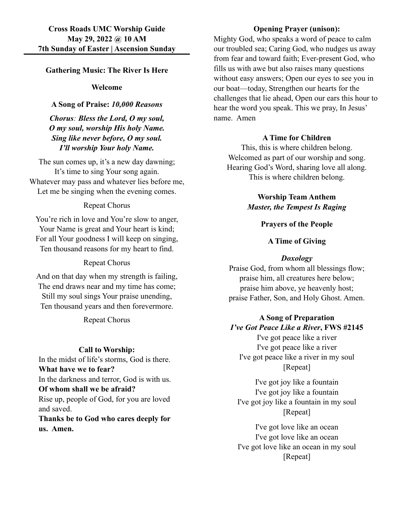# **Gathering Music: The River Is Here**

## **Welcome**

## **A Song of Praise:** *10,000 Reasons*

*Chorus: Bless the Lord, O my soul, O my soul, worship His holy Name. Sing like never before, O my soul. I'll worship Your holy Name.*

The sun comes up, it's a new day dawning; It's time to sing Your song again. Whatever may pass and whatever lies before me, Let me be singing when the evening comes.

## Repeat Chorus

You're rich in love and You're slow to anger, Your Name is great and Your heart is kind; For all Your goodness I will keep on singing, Ten thousand reasons for my heart to find.

# Repeat Chorus

And on that day when my strength is failing, The end draws near and my time has come; Still my soul sings Your praise unending, Ten thousand years and then forevermore.

Repeat Chorus

# **Call to Worship:**

In the midst of life's storms, God is there. **What have we to fear?** In the darkness and terror, God is with us. **Of whom shall we be afraid?** Rise up, people of God, for you are loved and saved. **Thanks be to God who cares deeply for us. Amen.**

# **Opening Prayer (unison):**

Mighty God, who speaks a word of peace to calm our troubled sea; Caring God, who nudges us away from fear and toward faith; Ever-present God, who fills us with awe but also raises many questions without easy answers; Open our eyes to see you in our boat—today, Strengthen our hearts for the challenges that lie ahead, Open our ears this hour to hear the word you speak. This we pray, In Jesus' name. Amen

## **A Time for Children**

This, this is where children belong. Welcomed as part of our worship and song. Hearing God's Word, sharing love all along. This is where children belong.

# **Worship Team Anthem** *Master, the Tempest Is Raging*

#### **Prayers of the People**

# **A Time of Giving**

## *Doxology*

Praise God, from whom all blessings flow; praise him, all creatures here below; praise him above, ye heavenly host; praise Father, Son, and Holy Ghost. Amen.

# **A Song of Preparation** *I've Got Peace Like a River***, FWS #2145**

I've got peace like a river I've got peace like a river I've got peace like a river in my soul [Repeat]

I've got joy like a fountain I've got joy like a fountain I've got joy like a fountain in my soul [Repeat]

I've got love like an ocean I've got love like an ocean I've got love like an ocean in my soul [Repeat]